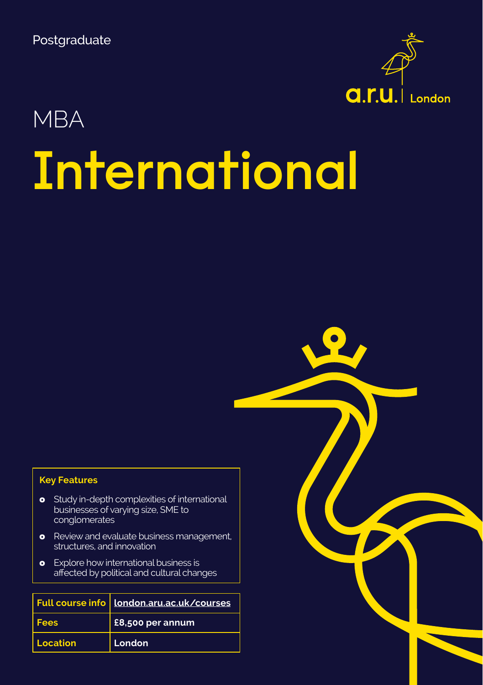

# **International** MBA

#### **Key Features**

- o Study in-depth complexities of international businesses of varying size, SME to conglomerates
- **o** Review and evaluate business management, structures, and innovation
- **o** Explore how international business is affected by political and cultural changes

|             | Full course info   London.aru.ac.uk/courses |
|-------------|---------------------------------------------|
| <b>Fees</b> | £8,500 per annum                            |
| Location    | London                                      |